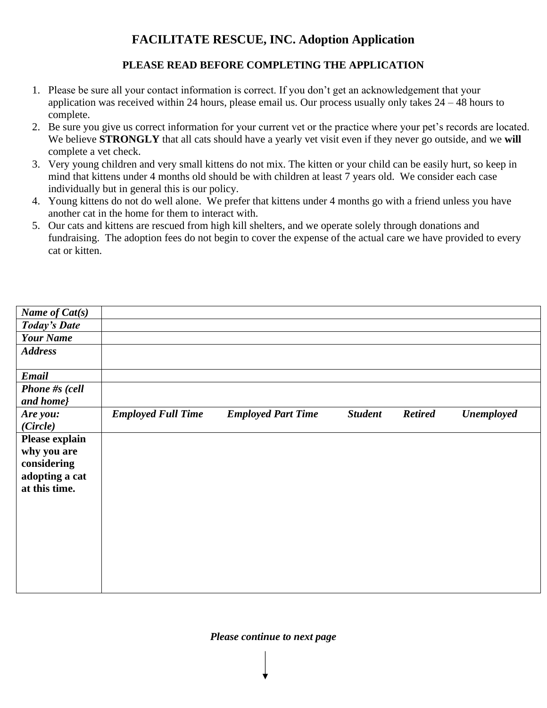# **FACILITATE RESCUE, INC. Adoption Application**

# **PLEASE READ BEFORE COMPLETING THE APPLICATION**

- 1. Please be sure all your contact information is correct. If you don't get an acknowledgement that your application was received within 24 hours, please email us. Our process usually only takes 24 – 48 hours to complete.
- 2. Be sure you give us correct information for your current vet or the practice where your pet's records are located. We believe **STRONGLY** that all cats should have a yearly vet visit even if they never go outside, and we will complete a vet check.
- 3. Very young children and very small kittens do not mix. The kitten or your child can be easily hurt, so keep in mind that kittens under 4 months old should be with children at least 7 years old. We consider each case individually but in general this is our policy.
- 4. Young kittens do not do well alone. We prefer that kittens under 4 months go with a friend unless you have another cat in the home for them to interact with.
- 5. Our cats and kittens are rescued from high kill shelters, and we operate solely through donations and fundraising. The adoption fees do not begin to cover the expense of the actual care we have provided to every cat or kitten.

| Name of Cat(s)      |                           |                           |                |                |                   |
|---------------------|---------------------------|---------------------------|----------------|----------------|-------------------|
| <b>Today's Date</b> |                           |                           |                |                |                   |
| <b>Your Name</b>    |                           |                           |                |                |                   |
| <b>Address</b>      |                           |                           |                |                |                   |
|                     |                           |                           |                |                |                   |
| Email               |                           |                           |                |                |                   |
| Phone #s (cell      |                           |                           |                |                |                   |
| and home}           |                           |                           |                |                |                   |
| Are you:            | <b>Employed Full Time</b> | <b>Employed Part Time</b> | <b>Student</b> | <b>Retired</b> | <b>Unemployed</b> |
| (Circle)            |                           |                           |                |                |                   |
| Please explain      |                           |                           |                |                |                   |
| why you are         |                           |                           |                |                |                   |
| considering         |                           |                           |                |                |                   |
| adopting a cat      |                           |                           |                |                |                   |
| at this time.       |                           |                           |                |                |                   |
|                     |                           |                           |                |                |                   |
|                     |                           |                           |                |                |                   |
|                     |                           |                           |                |                |                   |
|                     |                           |                           |                |                |                   |
|                     |                           |                           |                |                |                   |
|                     |                           |                           |                |                |                   |
|                     |                           |                           |                |                |                   |
|                     |                           |                           |                |                |                   |

## *Please continue to next page*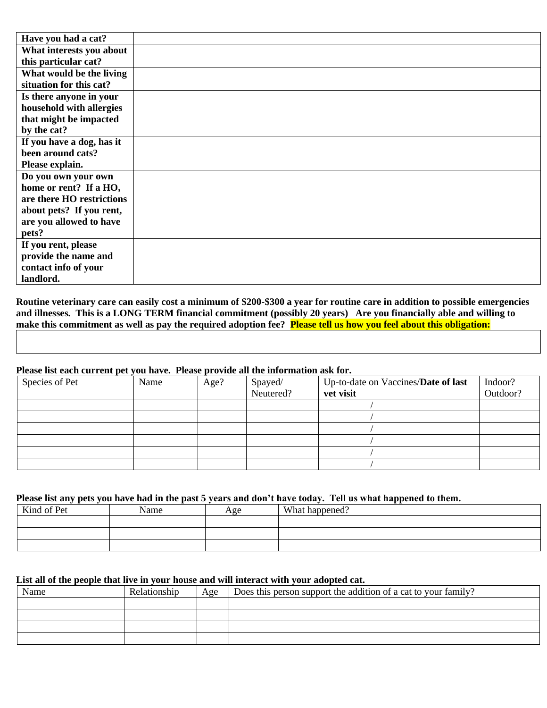| Have you had a cat?       |  |
|---------------------------|--|
| What interests you about  |  |
| this particular cat?      |  |
| What would be the living  |  |
| situation for this cat?   |  |
| Is there anyone in your   |  |
| household with allergies  |  |
| that might be impacted    |  |
| by the cat?               |  |
| If you have a dog, has it |  |
| been around cats?         |  |
| Please explain.           |  |
| Do you own your own       |  |
| home or rent? If a HO,    |  |
| are there HO restrictions |  |
| about pets? If you rent,  |  |
| are you allowed to have   |  |
| pets?                     |  |
| If you rent, please       |  |
| provide the name and      |  |
| contact info of your      |  |
| landlord.                 |  |

**Routine veterinary care can easily cost a minimum of \$200-\$300 a year for routine care in addition to possible emergencies and illnesses. This is a LONG TERM financial commitment (possibly 20 years) Are you financially able and willing to make this commitment as well as pay the required adoption fee? Please tell us how you feel about this obligation:**

#### **Please list each current pet you have. Please provide all the information ask for.**

| Species of Pet | Name | Age? | Spayed/<br>Neutered? | Up-to-date on Vaccines/Date of last<br>vet visit | Indoor?<br>Outdoor? |
|----------------|------|------|----------------------|--------------------------------------------------|---------------------|
|                |      |      |                      |                                                  |                     |
|                |      |      |                      |                                                  |                     |
|                |      |      |                      |                                                  |                     |
|                |      |      |                      |                                                  |                     |
|                |      |      |                      |                                                  |                     |
|                |      |      |                      |                                                  |                     |

#### **Please list any pets you have had in the past 5 years and don't have today. Tell us what happened to them.**

| Kind of Pet | Name | Age | What happened? |
|-------------|------|-----|----------------|
|             |      |     |                |
|             |      |     |                |
|             |      |     |                |

#### **List all of the people that live in your house and will interact with your adopted cat.**

| Name | Relationship | Age | Does this person support the addition of a cat to your family? |
|------|--------------|-----|----------------------------------------------------------------|
|      |              |     |                                                                |
|      |              |     |                                                                |
|      |              |     |                                                                |
|      |              |     |                                                                |